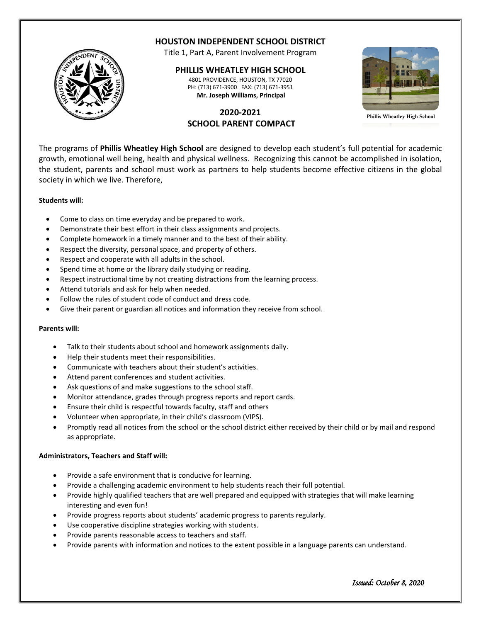

# **HOUSTON INDEPENDENT SCHOOL DISTRICT**

Title 1, Part A, Parent Involvement Program

### **PHILLIS WHEATLEY HIGH SCHOOL**

4801 PROVIDENCE, HOUSTON, TX 77020 PH: (713) 671-3900 FAX: (713) 671-3951 **Mr. Joseph Williams, Principal**

**2020-2021 SCHOOL PARENT COMPACT**



**Phillis Wheatley High School**

The programs of **Phillis Wheatley High School** are designed to develop each student's full potential for academic growth, emotional well being, health and physical wellness. Recognizing this cannot be accomplished in isolation, the student, parents and school must work as partners to help students become effective citizens in the global society in which we live. Therefore,

#### **Students will:**

- Come to class on time everyday and be prepared to work.
- Demonstrate their best effort in their class assignments and projects.
- Complete homework in a timely manner and to the best of their ability.
- Respect the diversity, personal space, and property of others.
- Respect and cooperate with all adults in the school.
- Spend time at home or the library daily studying or reading.
- Respect instructional time by not creating distractions from the learning process.
- Attend tutorials and ask for help when needed.
- Follow the rules of student code of conduct and dress code.
- Give their parent or guardian all notices and information they receive from school.

#### **Parents will:**

- Talk to their students about school and homework assignments daily.
- Help their students meet their responsibilities.
- Communicate with teachers about their student's activities.
- Attend parent conferences and student activities.
- Ask questions of and make suggestions to the school staff.
- Monitor attendance, grades through progress reports and report cards.
- Ensure their child is respectful towards faculty, staff and others
- Volunteer when appropriate, in their child's classroom (VIPS).
- Promptly read all notices from the school or the school district either received by their child or by mail and respond as appropriate.

#### **Administrators, Teachers and Staff will:**

- Provide a safe environment that is conducive for learning.
- Provide a challenging academic environment to help students reach their full potential.
- Provide highly qualified teachers that are well prepared and equipped with strategies that will make learning interesting and even fun!
- Provide progress reports about students' academic progress to parents regularly.
- Use cooperative discipline strategies working with students.
- Provide parents reasonable access to teachers and staff.
- Provide parents with information and notices to the extent possible in a language parents can understand.